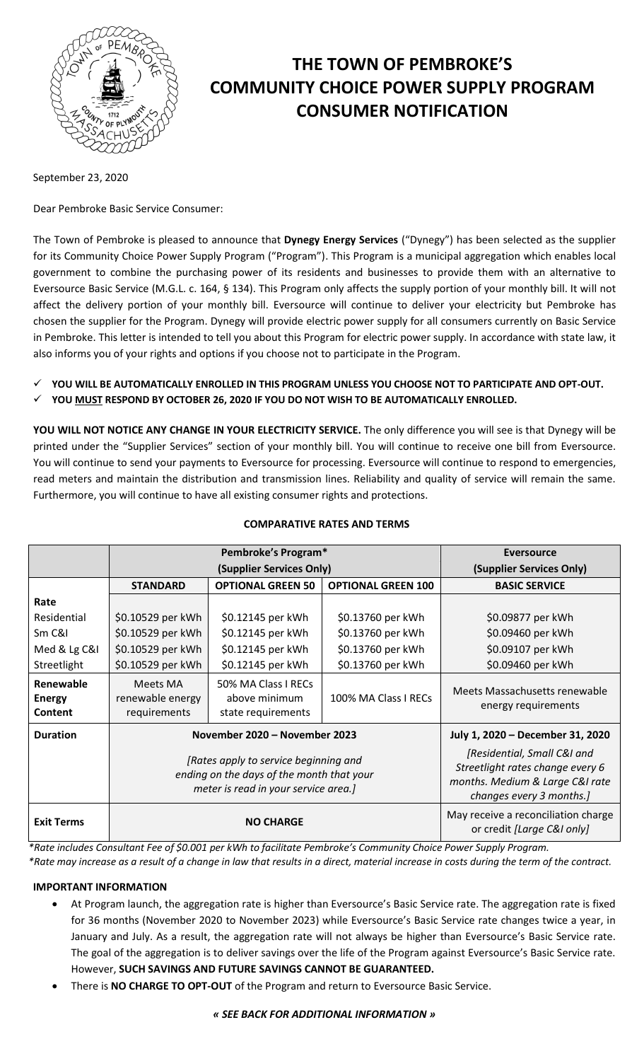

# **THE TOWN OF PEMBROKE'S COMMUNITY CHOICE POWER SUPPLY PROGRAM CONSUMER NOTIFICATION**

September 23, 2020

Dear Pembroke Basic Service Consumer:

The Town of Pembroke is pleased to announce that **Dynegy Energy Services** ("Dynegy") has been selected as the supplier for its Community Choice Power Supply Program ("Program"). This Program is a municipal aggregation which enables local government to combine the purchasing power of its residents and businesses to provide them with an alternative to Eversource Basic Service (M.G.L. c. 164, § 134). This Program only affects the supply portion of your monthly bill. It will not affect the delivery portion of your monthly bill. Eversource will continue to deliver your electricity but Pembroke has chosen the supplier for the Program. Dynegy will provide electric power supply for all consumers currently on Basic Service in Pembroke. This letter is intended to tell you about this Program for electric power supply. In accordance with state law, it also informs you of your rights and options if you choose not to participate in the Program.

- **YOU WILL BE AUTOMATICALLY ENROLLED IN THIS PROGRAM UNLESS YOU CHOOSE NOT TO PARTICIPATE AND OPT-OUT.**
- **YOU MUST RESPOND BY OCTOBER 26, 2020 IF YOU DO NOT WISH TO BE AUTOMATICALLY ENROLLED.**

**YOU WILL NOT NOTICE ANY CHANGE IN YOUR ELECTRICITY SERVICE.** The only difference you will see is that Dynegy will be printed under the "Supplier Services" section of your monthly bill. You will continue to receive one bill from Eversource. You will continue to send your payments to Eversource for processing. Eversource will continue to respond to emergencies, read meters and maintain the distribution and transmission lines. Reliability and quality of service will remain the same. Furthermore, you will continue to have all existing consumer rights and protections.

|                                       | Pembroke's Program*                                                                                                        |                                                            |                           | Eversource                                                                                                                     |
|---------------------------------------|----------------------------------------------------------------------------------------------------------------------------|------------------------------------------------------------|---------------------------|--------------------------------------------------------------------------------------------------------------------------------|
|                                       | (Supplier Services Only)                                                                                                   |                                                            |                           | (Supplier Services Only)                                                                                                       |
|                                       | <b>STANDARD</b>                                                                                                            | <b>OPTIONAL GREEN 50</b>                                   | <b>OPTIONAL GREEN 100</b> | <b>BASIC SERVICE</b>                                                                                                           |
| Rate                                  |                                                                                                                            |                                                            |                           |                                                                                                                                |
| Residential                           | \$0.10529 per kWh                                                                                                          | \$0.12145 per kWh                                          | \$0.13760 per kWh         | \$0.09877 per kWh                                                                                                              |
| Sm C&I                                | \$0.10529 per kWh                                                                                                          | \$0.12145 per kWh                                          | \$0.13760 per kWh         | \$0.09460 per kWh                                                                                                              |
| Med & Lg C&I                          | \$0.10529 per kWh                                                                                                          | \$0.12145 per kWh                                          | \$0.13760 per kWh         | \$0.09107 per kWh                                                                                                              |
| Streetlight                           | \$0.10529 per kWh                                                                                                          | \$0.12145 per kWh                                          | \$0.13760 per kWh         | \$0.09460 per kWh                                                                                                              |
| Renewable<br><b>Energy</b><br>Content | Meets MA<br>renewable energy<br>requirements                                                                               | 50% MA Class I RECs<br>above minimum<br>state requirements | 100% MA Class I RECs      | Meets Massachusetts renewable<br>energy requirements                                                                           |
| <b>Duration</b>                       | November 2020 - November 2023                                                                                              |                                                            |                           | July 1, 2020 - December 31, 2020                                                                                               |
|                                       | [Rates apply to service beginning and<br>ending on the days of the month that your<br>meter is read in your service area.] |                                                            |                           | [Residential, Small C&I and<br>Streetlight rates change every 6<br>months. Medium & Large C&I rate<br>changes every 3 months.] |
| <b>Exit Terms</b>                     | <b>NO CHARGE</b>                                                                                                           |                                                            |                           | May receive a reconciliation charge<br>or credit [Large C&I only]                                                              |

## **COMPARATIVE RATES AND TERMS**

*\*Rate includes Consultant Fee of \$0.001 per kWh to facilitate Pembroke's Community Choice Power Supply Program. \*Rate may increase as a result of a change in law that results in a direct, material increase in costs during the term of the contract.*

## **IMPORTANT INFORMATION**

- At Program launch, the aggregation rate is higher than Eversource's Basic Service rate. The aggregation rate is fixed for 36 months (November 2020 to November 2023) while Eversource's Basic Service rate changes twice a year, in January and July. As a result, the aggregation rate will not always be higher than Eversource's Basic Service rate. The goal of the aggregation is to deliver savings over the life of the Program against Eversource's Basic Service rate. However, **SUCH SAVINGS AND FUTURE SAVINGS CANNOT BE GUARANTEED.**
- There is **NO CHARGE TO OPT-OUT** of the Program and return to Eversource Basic Service.